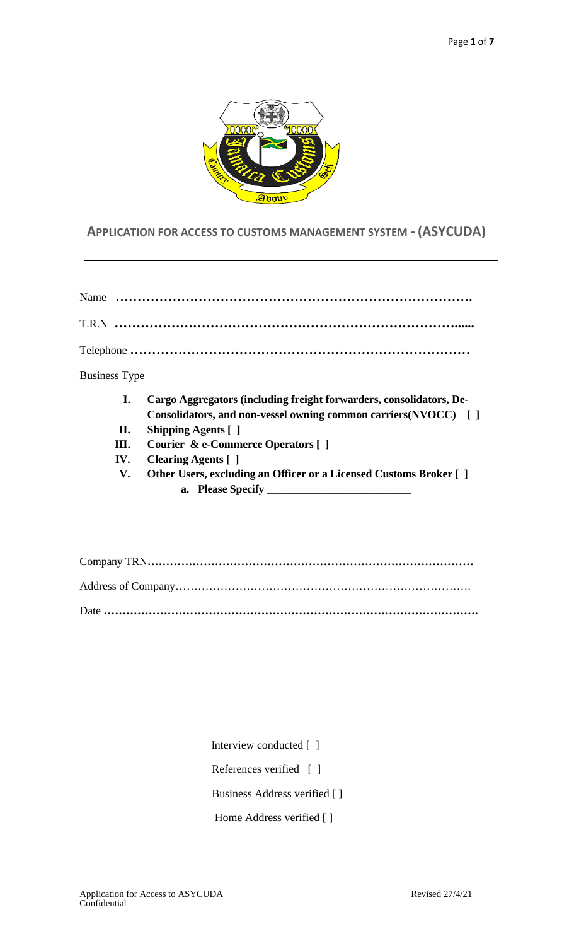

### **APPLICATION FOR ACCESS TO CUSTOMS MANAGEMENT SYSTEM - (ASYCUDA)**

|                      | I. | Cargo Aggregators (including freight forwarders, consolidators, De- |
|----------------------|----|---------------------------------------------------------------------|
| <b>Business Type</b> |    |                                                                     |
|                      |    |                                                                     |
|                      |    |                                                                     |
|                      |    |                                                                     |

- **Consolidators, and non-vessel owning common carriers(NVOCC) [ ] II. Shipping Agents [ ]**
- **III. Courier & e-Commerce Operators [ ]**
- **IV. Clearing Agents [ ]**
- **V. Other Users, excluding an Officer or a Licensed Customs Broker [ ] a. Please Specify \_\_\_\_\_\_\_\_\_\_\_\_\_\_\_\_\_\_\_\_\_\_\_\_\_\_**

Interview conducted [ ]

References verified [ ]

Business Address verified [ ]

Home Address verified [ ]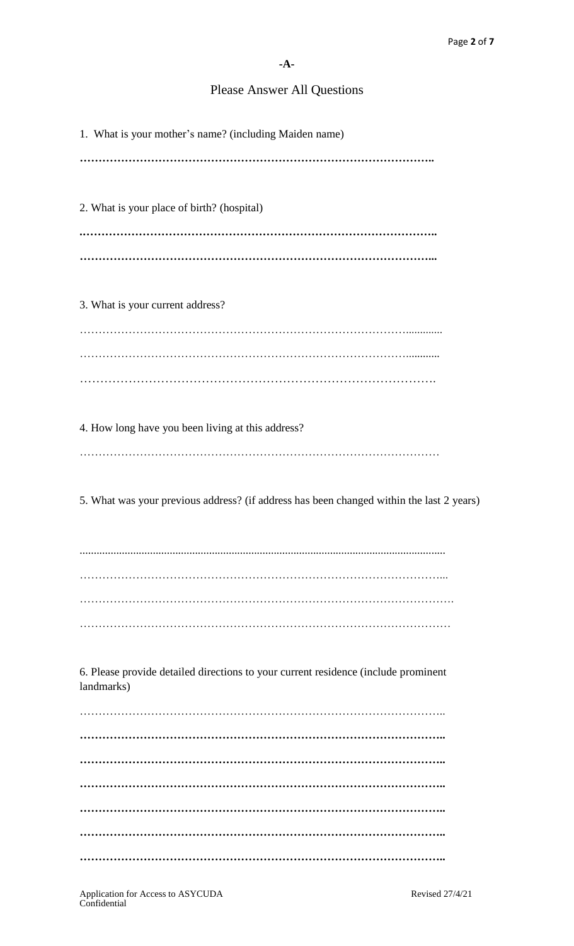# Please Answer All Questions

| 1. What is your mother's name? (including Maiden name)                                           |
|--------------------------------------------------------------------------------------------------|
|                                                                                                  |
| 2. What is your place of birth? (hospital)                                                       |
|                                                                                                  |
|                                                                                                  |
| 3. What is your current address?                                                                 |
|                                                                                                  |
|                                                                                                  |
| 4. How long have you been living at this address?                                                |
|                                                                                                  |
| 5. What was your previous address? (if address has been changed within the last 2 years)         |
|                                                                                                  |
|                                                                                                  |
|                                                                                                  |
|                                                                                                  |
| 6. Please provide detailed directions to your current residence (include prominent<br>landmarks) |
|                                                                                                  |
|                                                                                                  |
|                                                                                                  |
|                                                                                                  |
|                                                                                                  |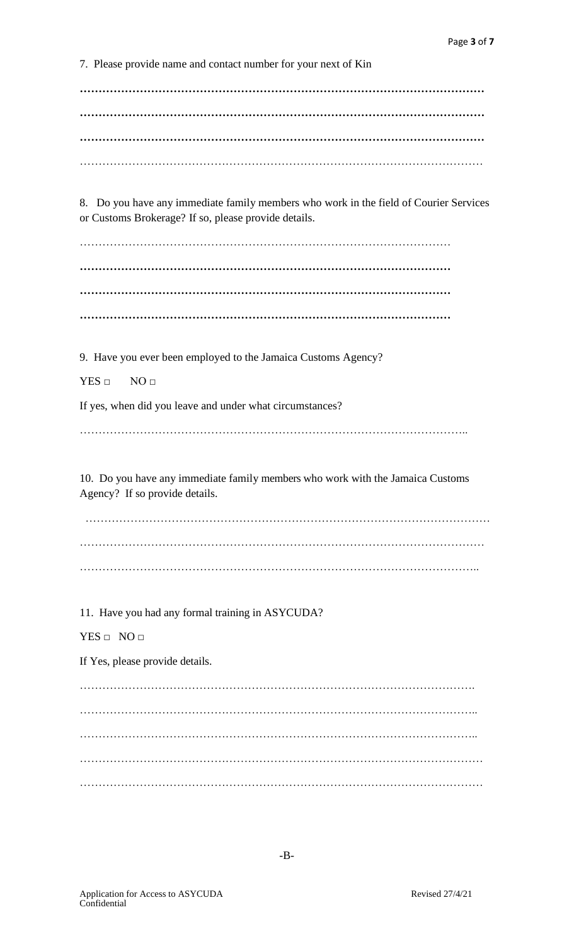7. Please provide name and contact number for your next of Kin

**……………………………………………………………………………………………… ……………………………………………………………………………………………… ………………………………………………………………………………………………** ………………………………………………………………………………………………

8. Do you have any immediate family members who work in the field of Courier Services or Customs Brokerage? If so, please provide details.

……………………………………………………………………………………… **……………………………………………………………………………………… ……………………………………………………………………………………… ………………………………………………………………………………………**

9. Have you ever been employed to the Jamaica Customs Agency?

 $YES \square NO \square$ 

If yes, when did you leave and under what circumstances?

…………………………………………………………………………………………..

10. Do you have any immediate family members who work with the Jamaica Customs Agency? If so provide details.

 ……………………………………………………………………………………………… ……………………………………………………………………………………………… ……………………………………………………………………………………………..

11. Have you had any formal training in ASYCUDA?

 $YES \Box NO \Box$ 

If Yes, please provide details.

……………………………………………………………………………………………. …………………………………………………………………………………………….. …………………………………………………………………………………………….. ……………………………………………………………………………………………… ………………………………………………………………………………………………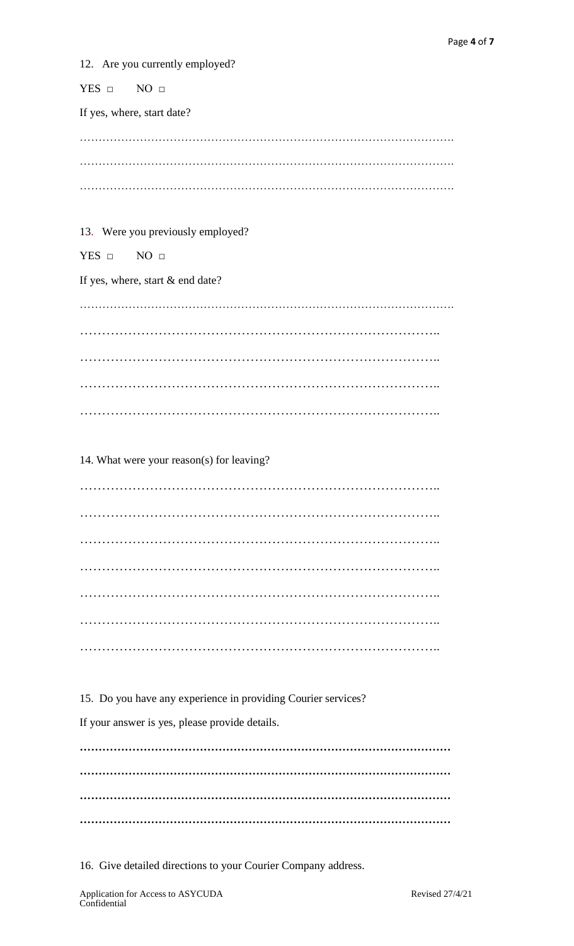12. Are you currently employed?

YES □ NO □

If yes, where, start date?

………………………………………………………………………………………. ………………………………………………………………………………………. ……………………………………………………………………………………….

#### 13. Were you previously employed?

YES □ NO □

If yes, where, start & end date?

………………………………………………………………………………………. ……………………………………………………………………….. ……………………………………………………………………….. ……………………………………………………………………………………………… ………………………………………………………………………..

14. What were your reason(s) for leaving?

……………………………………………………………………….. ……………………………………………………………………….. ……………………………………………………………………….. ……………………………………………………………………….. ……………………………………………………………………….. ……………………………………………………………………….. ………………………………………………………………………..

15. Do you have any experience in providing Courier services?

If your answer is yes, please provide details.

**……………………………………………………………………………………… ……………………………………………………………………………………… ……………………………………………………………………………………… ………………………………………………………………………………………**

16. Give detailed directions to your Courier Company address.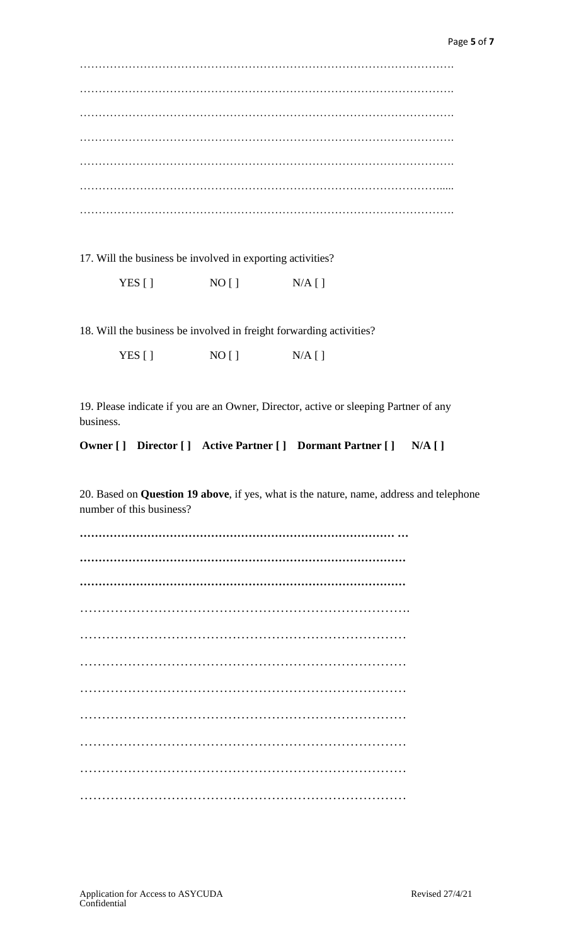………………………………………………………………………………………. ………………………………………………………………………………………. ………………………………………………………………………………………. ………………………………………………………………………………………. ………………………………………………………………………………………. ……………………………………………………………………………………..... ……………………………………………………………………………………….

17. Will the business be involved in exporting activities?

YES  $[ ]$  NO  $[ ]$  N/A  $[ ]$ 

18. Will the business be involved in freight forwarding activities?

YES  $[ ]$  NO  $[ ]$  N/A  $[ ]$ 

19. Please indicate if you are an Owner, Director, active or sleeping Partner of any business.

**Owner [ ] Director [ ] Active Partner [ ] Dormant Partner [ ] N/A [ ]**

20. Based on **Question 19 above**, if yes, what is the nature, name, address and telephone number of this business?

**………………………………………………………………………… … …………………………………………………………………………… ……………………………………………………………………………** …………………………………………………………………. ………………………………………………………………… ………………………………………………………………… ………………………………………………………………… ………………………………………………………………… ………………………………………………………………… ………………………………………………………………… …………………………………………………………………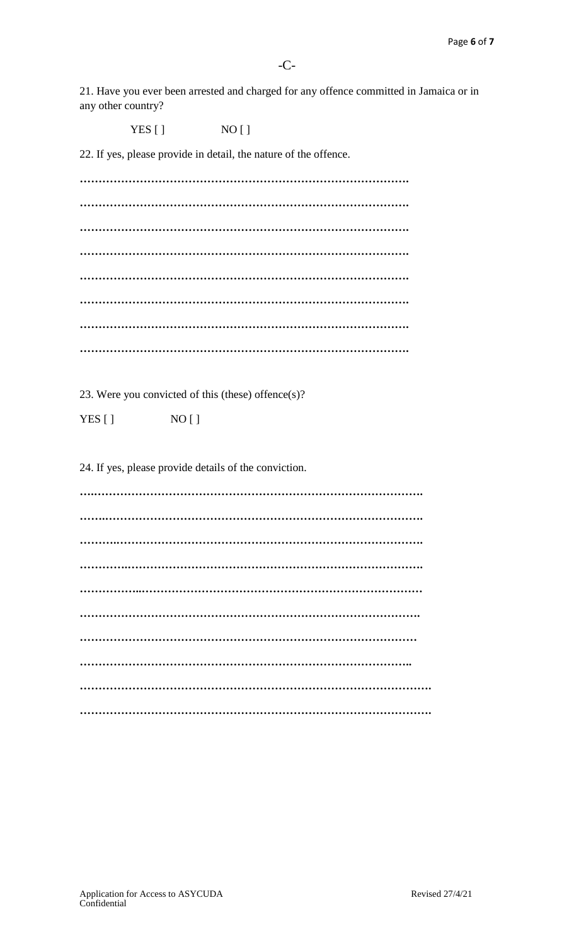21. Have you ever been arrested and charged for any offence committed in Jamaica or in any other country?

 $YES [ ]$   $NO [ ]$ 

22. If yes, please provide in detail, the nature of the offence.

**……………………………………………………………………………. ……………………………………………………………………………. ……………………………………………………………………………. ……………………………………………………………………………. ……………………………………………………………………………. ……………………………………………………………………………. ……………………………………………………………………………. …………………………………………………………………………….**

23. Were you convicted of this (these) offence(s)?

YES [ ] NO [ ]

24. If yes, please provide details of the conviction.

**….……………………………………………………………………………. …….…………………………………………………………………………. ……….………………………………………………………………………. ………….……………………………………………………………………. ……………..………………………………………………………………… ………………………………………………………………………………. ……………………………………………………………………………… …………………………………………………………………………….. …………………………………………………………………………………. ………………………………………………………………………………….**